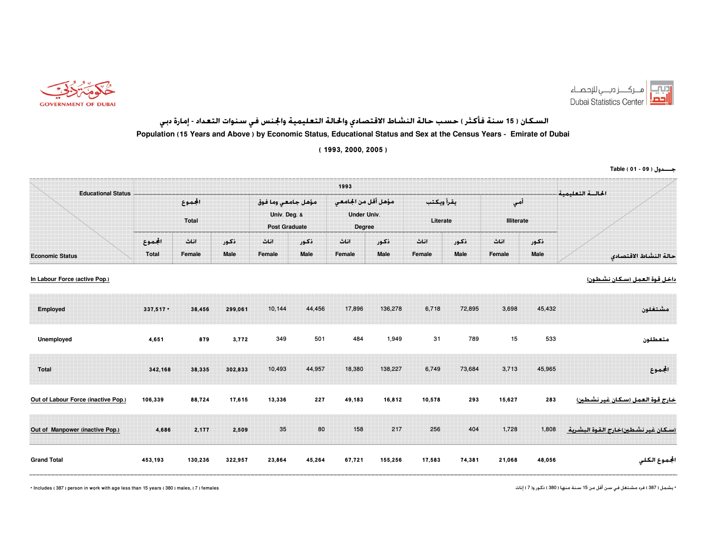مـــركــــــز دبـــــي للإحـصــاء<br>Dubai Statistics Center **LTT** 



السكان ( <sup>15</sup> سنة فأكثر ) حسب حالة النشاط الاقتصادي والحالة التعليمية والجنس في سنوات التعداد - إمارة دبي Population (15 Years and Above ) by Economic Status, Educational Status and Sex at the Census Years - Emirate of Dubai

( 1993, 2000, 2005 )

1993أمي يقرأ ويكتبمؤهل جامعي وما فوق الجموع الجموع Literate Illiterate Under Univ.DegreeUniv. Deg. & Post GraduateTotalذكور اناثذكور | اناث | ذكور | اناث | ذكور | اناث | الجموع Economic Status Total Female Male Female Male Female Male Female Male Female Male الاقتصادي النشاط حالةداخل قوة العمل (سكان نشطون)In Labour Force (active Pop.) مشتغلون10,144 44,456 17,896 136,278 6,718 72,895 3,698 45,432 Employed 299,061 متعطلون349 501 484 1,949 31 789 15 533 3,772 <sup>879</sup> 4,651 Unemployed الجموع 45,965 3,713 73,684 6,749 138,227 18,380 44,957 10,493 302,833 38,335 342,168 Total خارج قوة العمل (سكان غير نشطين)283 0ut of Labour Force (inactive Pop.) 106,339 88,724 17,615 13,336 227 49,183 16,812 10,578 293 15,627 283 (سكان غير نشطين)خارج القوة البشرية 1,80835 80 158 217 256 404 1,728 Out of Manpower (inactive Pop.) 4,686 2,177 2,509 الجموع الكلى 48,056 21,068 74,381 17,583 155,256 67,721 45,264 23,864 322,957 130,236 453,193 Total Grandالحالــة التعليمية|- التعليمية| التعليمية| التعليمية| التعليمية| التعليمية| Educational Status | الت مؤهل أقل من الجامعي

\* يشمل ( <sup>387</sup> ) فرد مشتغل في سن أقل من 15 سنة منها ( <sup>380</sup> ) ذكور و( <sup>7</sup> ) إناث

\* Includes ( 387 ) person in work with age less than 15 years ( 380 ) males, ( 7 ) females

جـــدول ( 09 - 01 ) Table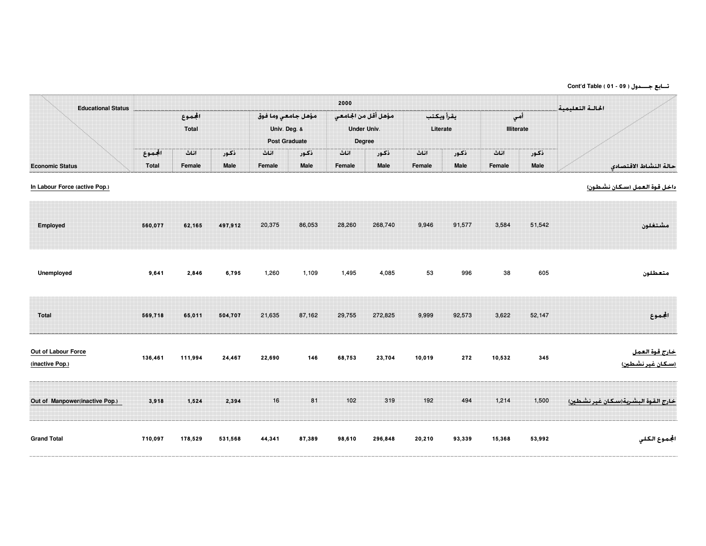## Cont'd Table ( 01 - 09 ) جـــدول تــابع

| <b>Educational Status</b>              |                        |                | الحالية التعليمية   |                                                            |              |                                                            |                     |                        |              |                          |              |                                                  |
|----------------------------------------|------------------------|----------------|---------------------|------------------------------------------------------------|--------------|------------------------------------------------------------|---------------------|------------------------|--------------|--------------------------|--------------|--------------------------------------------------|
| <b>Economic Status</b>                 | الجموع<br><b>Total</b> |                |                     | مؤهل جامعي وما فوق<br>Univ. Deg. &<br><b>Post Graduate</b> |              | مؤهل أقل من الجامعي<br><b>Under Univ.</b><br><b>Degree</b> |                     | يقرأ ويكتب<br>Literate |              | أمي<br><b>Illiterate</b> |              |                                                  |
|                                        | الجموع<br><b>Total</b> | اناث<br>Female | ذكور<br><b>Male</b> | اناث<br>Female                                             | ذكور<br>Male | اناث<br>Female                                             | ذكور<br><b>Male</b> | اناث<br>Female         | ذكور<br>Male | اناث<br>Female           | ذكور<br>Male | حالة النشاط الاقتصادى                            |
| In Labour Force (active Pop.)          |                        |                |                     |                                                            |              |                                                            |                     |                        |              |                          |              | <u>داخل قوة العمل (سكان نشطون)</u>               |
| Employed                               | 560,077                | 62,165         | 497,912             | 20,375                                                     | 86,053       | 28,260                                                     | 268,740             | 9,946                  | 91,577       | 3,584                    | 51,542       | مشتغلون                                          |
| Unemployed                             | 9,641                  | 2,846          | 6,795               | 1,260                                                      | 1,109        | 1,495                                                      | 4,085               | 53                     | 996          | 38                       | 605          | متعطلون                                          |
| <b>Total</b>                           | 569,718                | 65,011         | 504,707             | 21,635                                                     | 87,162       | 29,755                                                     | 272,825             | 9,999                  | 92,573       | 3,622                    | 52,147       | الجموع                                           |
| Out of Labour Force<br>(inactive Pop.) | 136,461                | 111,994        | 24,467              | 22,690                                                     | 146          | 68,753                                                     | 23,704              | 10,019                 | 272          | 10,532                   | 345          | <u>خارج قوة العمل</u><br><u>(سكان غير نشطين)</u> |
| Out of Manpower(inactive Pop.)         | 3,918                  | 1,524          | 2,394               | 16                                                         | 81           | 102                                                        | 319                 | 192                    | 494          | 1,214                    | 1,500        | خارج القوة البشرية(سكان غير نشطين)               |
| <b>Grand Total</b>                     | 710,097                | 178,529        | 531,568             | 44,341                                                     | 87,389       | 98,610                                                     | 296,848             | 20,210                 | 93,339       | 15,368                   | 53,992       | الجموع الكلي                                     |